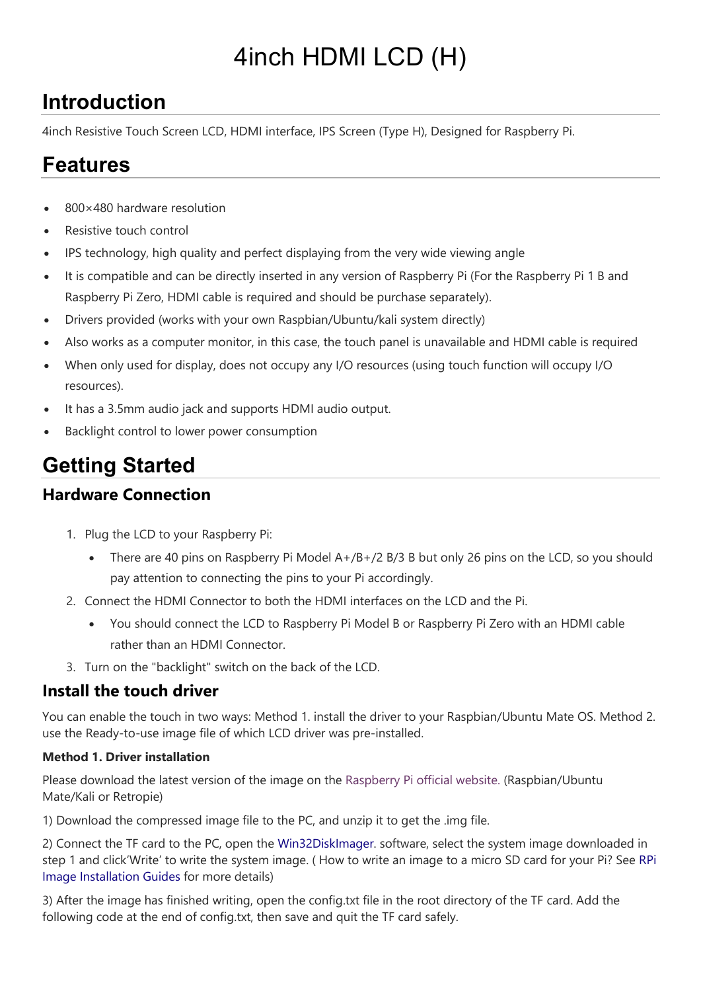# 4inch HDMI LCD (H)

## **Introduction**

4inch Resistive Touch Screen LCD, HDMI interface, IPS Screen (Type H), Designed for Raspberry Pi.

## **Features**

- 800×480 hardware resolution
- Resistive touch control
- IPS technology, high quality and perfect displaying from the very wide viewing angle
- It is compatible and can be directly inserted in any version of Raspberry Pi (For the Raspberry Pi 1 B and Raspberry Pi Zero, HDMI cable is required and should be purchase separately).
- Drivers provided (works with your own Raspbian/Ubuntu/kali system directly)
- Also works as a computer monitor, in this case, the touch panel is unavailable and HDMI cable is required
- When only used for display, does not occupy any I/O resources (using touch function will occupy I/O resources).
- It has a 3.5mm audio jack and supports HDMI audio output.
- Backlight control to lower power consumption

## **Getting Started**

### **Hardware Connection**

- 1. Plug the LCD to your Raspberry Pi:
	- There are 40 pins on Raspberry Pi Model  $A+/B+/2 B/3 B$  but only 26 pins on the LCD, so you should pay attention to connecting the pins to your Pi accordingly.
- 2. Connect the HDMI Connector to both the HDMI interfaces on the LCD and the Pi.
	- You should connect the LCD to Raspberry Pi Model B or Raspberry Pi Zero with an HDMI cable rather than an HDMI Connector.
- 3. Turn on the "backlight" switch on the back of the LCD.

### **Install the touch driver**

You can enable the touch in two ways: Method 1. install the driver to your Raspbian/Ubuntu Mate OS. Method 2. use the Ready-to-use image file of which LCD driver was pre-installed.

### **Method 1. Driver installation**

Please download the latest version of the image on the [Raspberry Pi official website.](https://www.raspberrypi.org/downloads/) (Raspbian/Ubuntu Mate/Kali or Retropie)

1) Download the compressed image file to the PC, and unzip it to get the .img file.

2) Connect the TF card to the PC, open the [Win32DiskImager.](https://www.waveshare.com/wiki/File:Win32DiskImager.zip) software, select the system image downloaded in step 1 and click'Write' to write the system image. ( How to write an image to a micro SD card for your Pi? See [RPi](https://www.waveshare.com/wiki/RPi-Image-Installation-Guides)  [Image Installation Guides](https://www.waveshare.com/wiki/RPi-Image-Installation-Guides) for more details)

3) After the image has finished writing, open the config.txt file in the root directory of the TF card. Add the following code at the end of config.txt, then save and quit the TF card safely.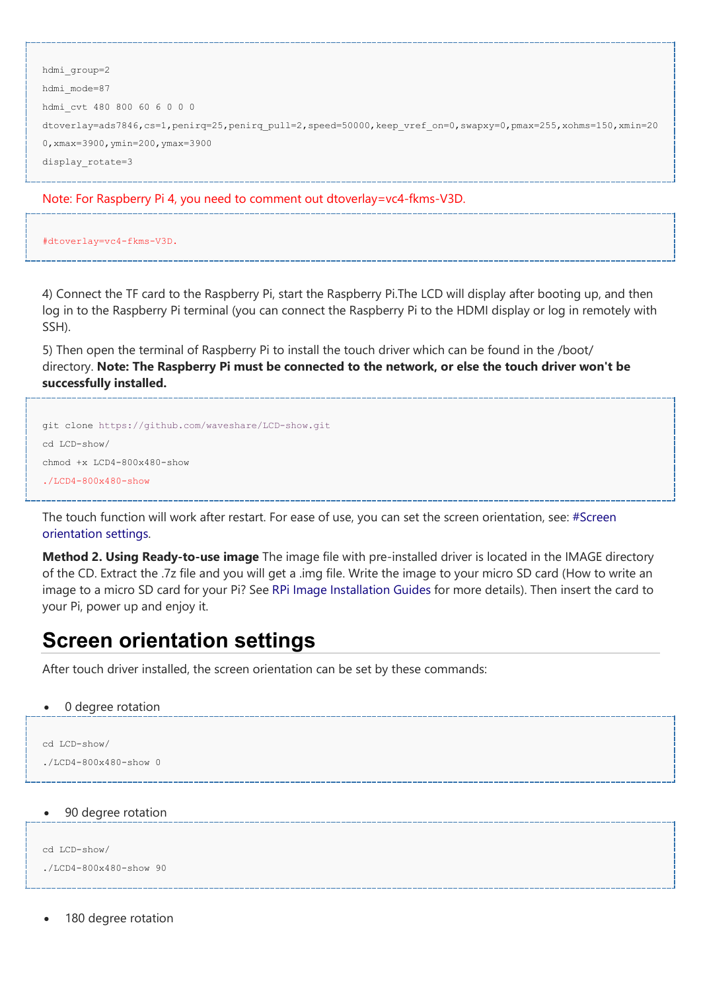```
hdmi_group=2
hdmi_mode=87
hdmi_cvt 480 800 60 6 0 0 0
dtoverlay=ads7846,cs=1,penirq=25,penirq pull=2,speed=50000,keep vref on=0,swapxy=0,pmax=255,xohms=150,xmin=20
0,xmax=3900,ymin=200,ymax=3900
display_rotate=3
```
Note: For Raspberry Pi 4, you need to comment out dtoverlay=vc4-fkms-V3D.

#dtoverlay=vc4-fkms-V3D.

4) Connect the TF card to the Raspberry Pi, start the Raspberry Pi.The LCD will display after booting up, and then log in to the Raspberry Pi terminal (you can connect the Raspberry Pi to the HDMI display or log in remotely with SSH).

5) Then open the terminal of Raspberry Pi to install the touch driver which can be found in the /boot/ directory. **Note: The Raspberry Pi must be connected to the network, or else the touch driver won't be successfully installed.**

```
git clone https://github.com/waveshare/LCD-show.git
cd LCD-show/
chmod +x LCD4-800x480-show
1/T.CD4-800\times480-show
```
The touch function will work after restart. For ease of use, you can set the screen orientation, see: [#Screen](https://www.waveshare.com/wiki/4inch_HDMI_LCD_(H)#Screen_orientation_settings)  [orientation settings.](https://www.waveshare.com/wiki/4inch_HDMI_LCD_(H)#Screen_orientation_settings)

**Method 2. Using Ready-to-use image** The image file with pre-installed driver is located in the IMAGE directory of the CD. Extract the .7z file and you will get a .img file. Write the image to your micro SD card (How to write an image to a micro SD card for your Pi? See [RPi Image Installation](https://www.waveshare.com/wiki/RPi-Image-Installation-Guides) Guides for more details). Then insert the card to your Pi, power up and enjoy it.

### **Screen orientation settings**

After touch driver installed, the screen orientation can be set by these commands:

• 0 degree rotation

```
cd LCD-show/
./LCD4-800x480-show 0
```
#### • 90 degree rotation

```
cd LCD-show/
./LCD4-800x480-show 90
```
180 degree rotation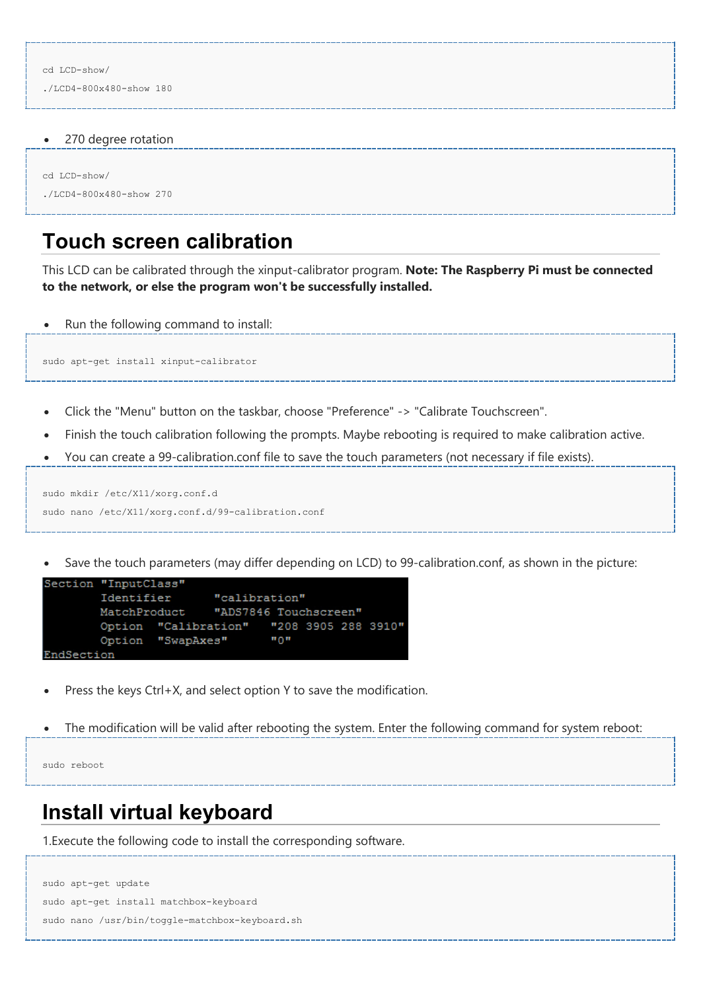./LCD4-800x480-show 180

• 270 degree rotation

```
cd LCD-show/
```

```
./LCD4-800x480-show 270
```
### **Touch screen calibration**

This LCD can be calibrated through the xinput-calibrator program. **Note: The Raspberry Pi must be connected to the network, or else the program won't be successfully installed.**

• Run the following command to install:

sudo apt-get install xinput-calibrator

- Click the "Menu" button on the taskbar, choose "Preference" -> "Calibrate Touchscreen".
- Finish the touch calibration following the prompts. Maybe rebooting is required to make calibration active.
- You can create a 99-calibration.conf file to save the touch parameters (not necessary if file exists).

```
sudo mkdir /etc/X11/xorg.conf.d
sudo nano /etc/X11/xorg.conf.d/99-calibration.conf
```
Save the touch parameters (may differ depending on LCD) to 99-calibration.conf, as shown in the picture:

```
Section "InputClass"
        Identifier
                        "calibration"
                       "ADS7846 Touchscreen"
        MatchProduct
        Option "Calibration" "208 3905 288 3910"
                                n_0Option "SwapAxes"
EndSection
```
- Press the keys Ctrl+X, and select option Y to save the modification.
- The modification will be valid after rebooting the system. Enter the following command for system reboot:

```
sudo reboot
```
### **Install virtual keyboard**

1.Execute the following code to install the corresponding software.

```
sudo apt-get update
sudo apt-get install matchbox-keyboard
sudo nano /usr/bin/toggle-matchbox-keyboard.sh
```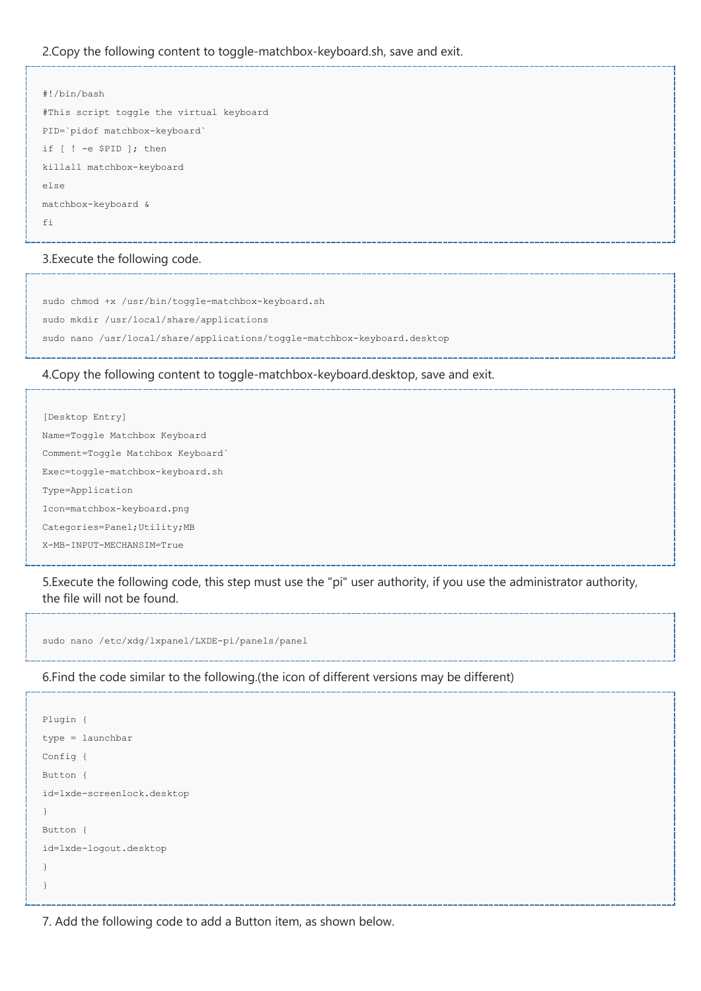#### 2.Copy the following content to toggle-matchbox-keyboard.sh, save and exit.

```
#!/bin/bash
#This script toggle the virtual keyboard
PID=`pidof matchbox-keyboard`
if [ ! -e $PID ]; then
killall matchbox-keyboard
else
matchbox-keyboard &
fi
```
#### 3.Execute the following code.

sudo chmod +x /usr/bin/toggle-matchbox-keyboard.sh sudo mkdir /usr/local/share/applications sudo nano /usr/local/share/applications/toggle-matchbox-keyboard.desktop

#### 4.Copy the following content to toggle-matchbox-keyboard.desktop, save and exit.

```
[Desktop Entry]
Name=Toggle Matchbox Keyboard
Comment=Toggle Matchbox Keyboard`
Exec=toggle-matchbox-keyboard.sh
Type=Application
Icon=matchbox-keyboard.png
Categories=Panel;Utility;MB
X-MB-INPUT-MECHANSIM=True
```
5.Execute the following code, this step must use the "pi" user authority, if you use the administrator authority, the file will not be found.

sudo nano /etc/xdg/lxpanel/LXDE-pi/panels/panel

#### 6.Find the code similar to the following.(the icon of different versions may be different)

```
Plugin {
type = launchbar
Config {
Button {
id=lxde-screenlock.desktop
}
Button {
id=lxde-logout.desktop
}
}
```
7. Add the following code to add a Button item, as shown below.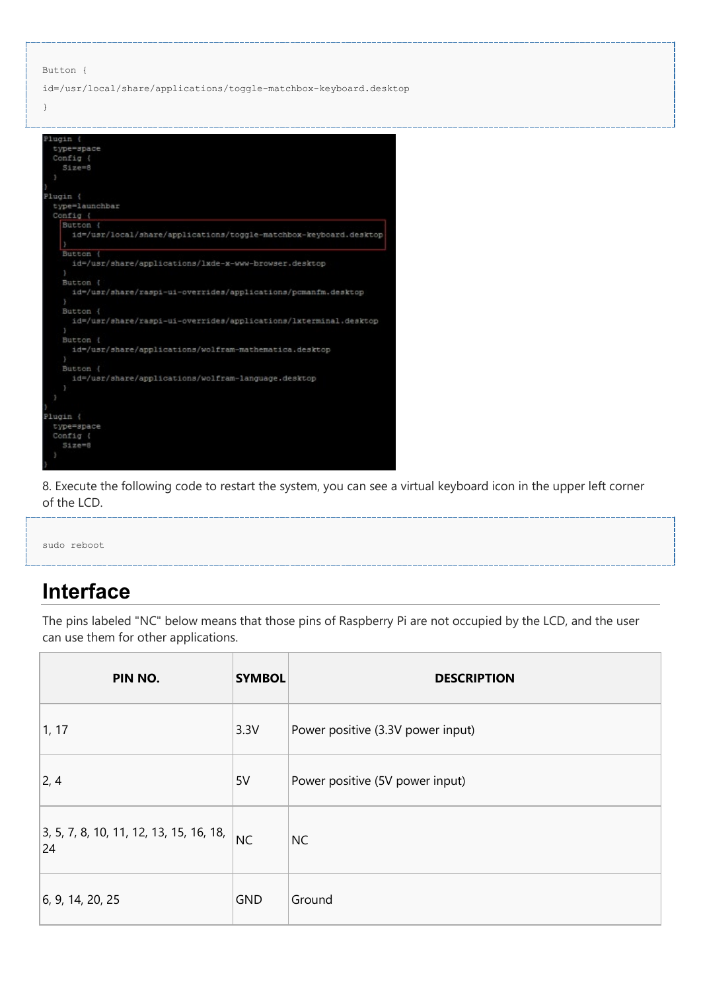```
Button {
```
}

id=/usr/local/share/applications/toggle-matchbox-keyboard.desktop

| Plugin {                                                          |  |
|-------------------------------------------------------------------|--|
| type=space                                                        |  |
| Config {                                                          |  |
| $51ze=8$                                                          |  |
| 3                                                                 |  |
|                                                                   |  |
| Plugin {                                                          |  |
| type=launchbar                                                    |  |
| Config {                                                          |  |
| Button (                                                          |  |
| id=/usr/local/share/applications/toggle-matchbox-keyboard.desktop |  |
|                                                                   |  |
| <b>Button</b>                                                     |  |
| id=/usr/share/applications/lxde-x-www-browser.desktop             |  |
|                                                                   |  |
| Button (                                                          |  |
| id=/usr/share/raspi-ui-overrides/applications/pcmanfm.desktop     |  |
|                                                                   |  |
| Button {                                                          |  |
| id=/usr/share/raspi-ui-overrides/applications/lxterminal.desktop  |  |
|                                                                   |  |
| Button (                                                          |  |
| id=/usr/share/applications/wolfram-mathematica.desktop            |  |
|                                                                   |  |
| Button {                                                          |  |
| id=/usr/share/applications/wolfram-language.desktop               |  |
|                                                                   |  |
|                                                                   |  |
|                                                                   |  |
| Plugin {                                                          |  |
| type=space                                                        |  |
| Config {                                                          |  |
| $51$ ze= $8$                                                      |  |
| y                                                                 |  |
|                                                                   |  |

8. Execute the following code to restart the system, you can see a virtual keyboard icon in the upper left corner of the LCD.

sudo reboot

## **Interface**

The pins labeled "NC" below means that those pins of Raspberry Pi are not occupied by the LCD, and the user can use them for other applications.

| PIN NO.                                         | <b>SYMBOL</b> | <b>DESCRIPTION</b>                |
|-------------------------------------------------|---------------|-----------------------------------|
| 1, 17                                           | 3.3V          | Power positive (3.3V power input) |
| $\vert$ 2, 4                                    | 5V            | Power positive (5V power input)   |
| $3, 5, 7, 8, 10, 11, 12, 13, 15, 16, 18,$<br>24 | NC            | <b>NC</b>                         |
| 6, 9, 14, 20, 25                                | <b>GND</b>    | Ground                            |